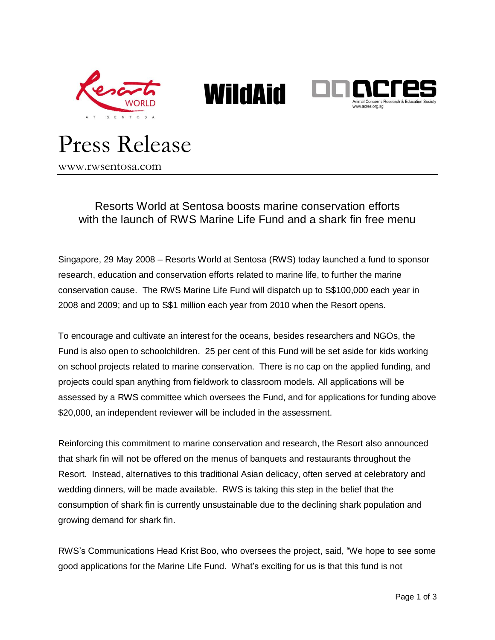





# Press Release

www.rwsentosa.com

## Resorts World at Sentosa boosts marine conservation efforts with the launch of RWS Marine Life Fund and a shark fin free menu

Singapore, 29 May 2008 – Resorts World at Sentosa (RWS) today launched a fund to sponsor research, education and conservation efforts related to marine life, to further the marine conservation cause. The RWS Marine Life Fund will dispatch up to S\$100,000 each year in 2008 and 2009; and up to S\$1 million each year from 2010 when the Resort opens.

To encourage and cultivate an interest for the oceans, besides researchers and NGOs, the Fund is also open to schoolchildren. 25 per cent of this Fund will be set aside for kids working on school projects related to marine conservation. There is no cap on the applied funding, and projects could span anything from fieldwork to classroom models. All applications will be assessed by a RWS committee which oversees the Fund, and for applications for funding above \$20,000, an independent reviewer will be included in the assessment.

Reinforcing this commitment to marine conservation and research, the Resort also announced that shark fin will not be offered on the menus of banquets and restaurants throughout the Resort. Instead, alternatives to this traditional Asian delicacy, often served at celebratory and wedding dinners, will be made available. RWS is taking this step in the belief that the consumption of shark fin is currently unsustainable due to the declining shark population and growing demand for shark fin.

RWS's Communications Head Krist Boo, who oversees the project, said, "We hope to see some good applications for the Marine Life Fund. What's exciting for us is that this fund is not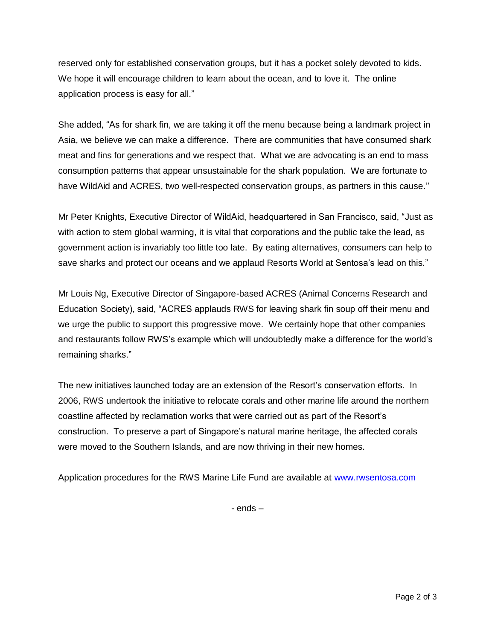reserved only for established conservation groups, but it has a pocket solely devoted to kids. We hope it will encourage children to learn about the ocean, and to love it. The online application process is easy for all."

She added, "As for shark fin, we are taking it off the menu because being a landmark project in Asia, we believe we can make a difference. There are communities that have consumed shark meat and fins for generations and we respect that. What we are advocating is an end to mass consumption patterns that appear unsustainable for the shark population. We are fortunate to have WildAid and ACRES, two well-respected conservation groups, as partners in this cause.''

Mr Peter Knights, Executive Director of WildAid, headquartered in San Francisco, said, "Just as with action to stem global warming, it is vital that corporations and the public take the lead, as government action is invariably too little too late. By eating alternatives, consumers can help to save sharks and protect our oceans and we applaud Resorts World at Sentosa's lead on this."

Mr Louis Ng, Executive Director of Singapore-based ACRES (Animal Concerns Research and Education Society), said, "ACRES applauds RWS for leaving shark fin soup off their menu and we urge the public to support this progressive move. We certainly hope that other companies and restaurants follow RWS's example which will undoubtedly make a difference for the world's remaining sharks."

The new initiatives launched today are an extension of the Resort's conservation efforts. In 2006, RWS undertook the initiative to relocate corals and other marine life around the northern coastline affected by reclamation works that were carried out as part of the Resort's construction. To preserve a part of Singapore's natural marine heritage, the affected corals were moved to the Southern Islands, and are now thriving in their new homes.

Application procedures for the RWS Marine Life Fund are available at [www.rwsentosa.com](http://www.rwsentosa.com/)

- ends –